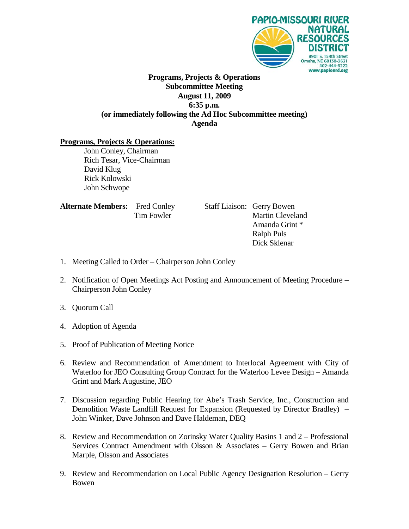

### **Programs, Projects & Operations Subcommittee Meeting August 11, 2009 6:35 p.m. (or immediately following the Ad Hoc Subcommittee meeting) Agenda**

#### **Programs, Projects & Operations:**

John Conley, Chairman Rich Tesar, Vice-Chairman David Klug Rick Kolowski John Schwope

| <b>Alternate Members:</b> Fred Conley |            |
|---------------------------------------|------------|
|                                       | Tim Fowler |

**Staff Liaison: Gerry Bowen** Martin Cleveland Amanda Grint \* Ralph Puls Dick Sklenar

- 1. Meeting Called to Order Chairperson John Conley
- 2. Notification of Open Meetings Act Posting and Announcement of Meeting Procedure Chairperson John Conley
- 3. Quorum Call
- 4. Adoption of Agenda
- 5. Proof of Publication of Meeting Notice
- 6. Review and Recommendation of Amendment to Interlocal Agreement with City of Waterloo for JEO Consulting Group Contract for the Waterloo Levee Design – Amanda Grint and Mark Augustine, JEO
- 7. Discussion regarding Public Hearing for Abe's Trash Service, Inc., Construction and Demolition Waste Landfill Request for Expansion (Requested by Director Bradley) – John Winker, Dave Johnson and Dave Haldeman, DEQ
- 8. Review and Recommendation on Zorinsky Water Quality Basins 1 and 2 Professional Services Contract Amendment with Olsson & Associates – Gerry Bowen and Brian Marple, Olsson and Associates
- 9. Review and Recommendation on Local Public Agency Designation Resolution Gerry Bowen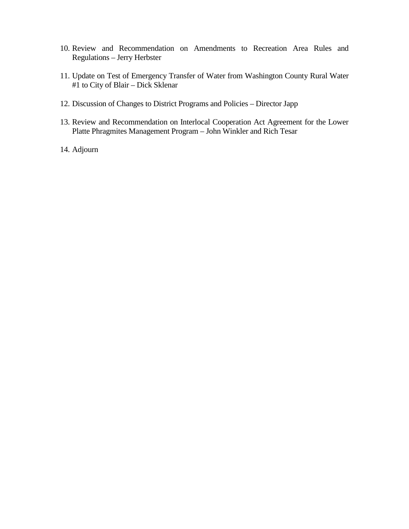- 10. Review and Recommendation on Amendments to Recreation Area Rules and Regulations – Jerry Herbster
- 11. Update on Test of Emergency Transfer of Water from Washington County Rural Water #1 to City of Blair – Dick Sklenar
- 12. Discussion of Changes to District Programs and Policies Director Japp
- 13. Review and Recommendation on Interlocal Cooperation Act Agreement for the Lower Platte Phragmites Management Program – John Winkler and Rich Tesar
- 14. Adjourn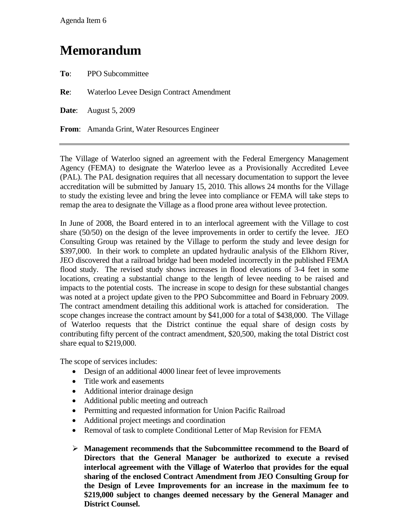### **Memorandum**

**To**: PPO Subcommittee

**Re**: Waterloo Levee Design Contract Amendment

**Date**: August 5, 2009

**From**: Amanda Grint, Water Resources Engineer

The Village of Waterloo signed an agreement with the Federal Emergency Management Agency (FEMA) to designate the Waterloo levee as a Provisionally Accredited Levee (PAL). The PAL designation requires that all necessary documentation to support the levee accreditation will be submitted by January 15, 2010. This allows 24 months for the Village to study the existing levee and bring the levee into compliance or FEMA will take steps to remap the area to designate the Village as a flood prone area without levee protection.

In June of 2008, the Board entered in to an interlocal agreement with the Village to cost share (50/50) on the design of the levee improvements in order to certify the levee. JEO Consulting Group was retained by the Village to perform the study and levee design for \$397,000. In their work to complete an updated hydraulic analysis of the Elkhorn River, JEO discovered that a railroad bridge had been modeled incorrectly in the published FEMA flood study. The revised study shows increases in flood elevations of 3-4 feet in some locations, creating a substantial change to the length of levee needing to be raised and impacts to the potential costs. The increase in scope to design for these substantial changes was noted at a project update given to the PPO Subcommittee and Board in February 2009. The contract amendment detailing this additional work is attached for consideration. The scope changes increase the contract amount by \$41,000 for a total of \$438,000. The Village of Waterloo requests that the District continue the equal share of design costs by contributing fifty percent of the contract amendment, \$20,500, making the total District cost share equal to \$219,000.

The scope of services includes:

- Design of an additional 4000 linear feet of levee improvements
- Title work and easements
- Additional interior drainage design
- Additional public meeting and outreach
- Permitting and requested information for Union Pacific Railroad
- Additional project meetings and coordination
- Removal of task to complete Conditional Letter of Map Revision for FEMA
- **Management recommends that the Subcommittee recommend to the Board of Directors that the General Manager be authorized to execute a revised interlocal agreement with the Village of Waterloo that provides for the equal sharing of the enclosed Contract Amendment from JEO Consulting Group for the Design of Levee Improvements for an increase in the maximum fee to \$219,000 subject to changes deemed necessary by the General Manager and District Counsel.**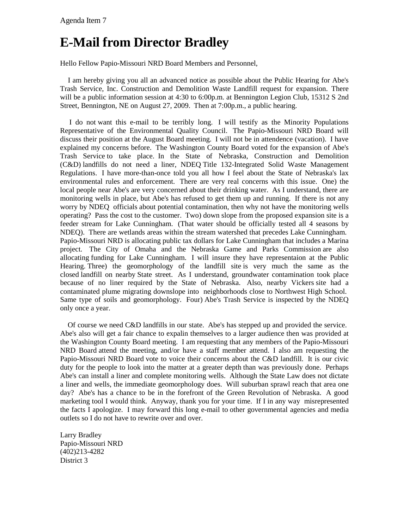# **E-Mail from Director Bradley**

Hello Fellow Papio-Missouri NRD Board Members and Personnel,

 I am hereby giving you all an advanced notice as possible about the Public Hearing for Abe's Trash Service, Inc. Construction and Demolition Waste Landfill request for expansion. There will be a public information session at 4:30 to 6:00p.m. at Bennington Legion Club, 15312 S 2nd Street, Bennington, NE on August 27, 2009. Then at 7:00p.m., a public hearing.

 I do not want this e-mail to be terribly long. I will testify as the Minority Populations Representative of the Environmental Quality Council. The Papio-Missouri NRD Board will discuss their position at the August Board meeting. I will not be in attendence (vacation). I have explained my concerns before. The Washington County Board voted for the expansion of Abe's Trash Service to take place. In the State of Nebraska, Construction and Demolition (C&D) landfills do not need a liner, NDEQ Title 132-Integrated Solid Waste Management Regulations. I have more-than-once told you all how I feel about the State of Nebraska's lax environmental rules and enforcement. There are very real concerns with this issue. One) the local people near Abe's are very concerned about their drinking water. As I understand, there are monitoring wells in place, but Abe's has refused to get them up and running. If there is not any worry by NDEQ officials about potential contamination, then why not have the monitoring wells operating? Pass the cost to the customer. Two) down slope from the proposed expansion site is a feeder stream for Lake Cunningham. (That water should be officially tested all 4 seasons by NDEQ). There are wetlands areas within the stream watershed that precedes Lake Cunningham. Papio-Missouri NRD is allocating public tax dollars for Lake Cunningham that includes a Marina project. The City of Omaha and the Nebraska Game and Parks Commission are also allocating funding for Lake Cunningham. I will insure they have representaion at the Public Hearing. Three) the geomorphology of the landfill site is very much the same as the closed landfill on nearby State street. As I understand, groundwater contamination took place because of no liner required by the State of Nebraska. Also, nearby Vickers site had a contaminated plume migrating downslope into neighborhoods close to Northwest High School. Same type of soils and geomorphology. Four) Abe's Trash Service is inspected by the NDEQ only once a year.

 Of course we need C&D landfills in our state. Abe's has stepped up and provided the service. Abe's also will get a fair chance to expalin themselves to a larger audience then was provided at the Washington County Board meeting. I am requesting that any members of the Papio-Missouri NRD Board attend the meeting, and/or have a staff member attend. I also am requesting the Papio-Missouri NRD Board vote to voice their concerns about the C&D landfill. It is our civic duty for the people to look into the matter at a greater depth than was previously done. Perhaps Abe's can install a liner and complete monitoring wells. Although the State Law does not dictate a liner and wells, the immediate geomorphology does. Will suburban sprawl reach that area one day? Abe's has a chance to be in the forefront of the Green Revolution of Nebraska. A good marketing tool I would think. Anyway, thank you for your time. If I in any way misrepresented the facts I apologize. I may forward this long e-mail to other governmental agencies and media outlets so I do not have to rewrite over and over.

Larry Bradley Papio-Missouri NRD (402)213-4282 District 3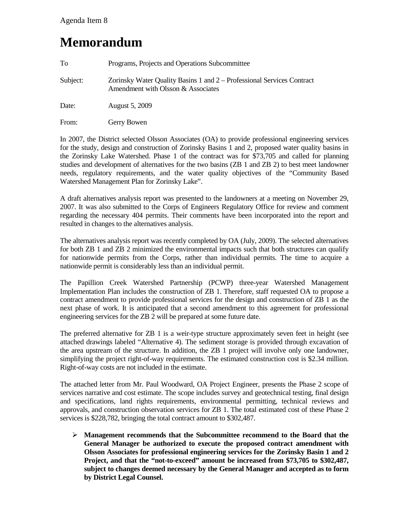### **Memorandum**

| To       | Programs, Projects and Operations Subcommittee                                                               |
|----------|--------------------------------------------------------------------------------------------------------------|
| Subject: | Zorinsky Water Quality Basins 1 and 2 – Professional Services Contract<br>Amendment with Olsson & Associates |
| Date:    | <b>August 5, 2009</b>                                                                                        |
| From:    | Gerry Bowen                                                                                                  |

In 2007, the District selected Olsson Associates (OA) to provide professional engineering services for the study, design and construction of Zorinsky Basins 1 and 2, proposed water quality basins in the Zorinsky Lake Watershed. Phase 1 of the contract was for \$73,705 and called for planning studies and development of alternatives for the two basins (ZB 1 and ZB 2) to best meet landowner needs, regulatory requirements, and the water quality objectives of the "Community Based Watershed Management Plan for Zorinsky Lake".

A draft alternatives analysis report was presented to the landowners at a meeting on November 29, 2007. It was also submitted to the Corps of Engineers Regulatory Office for review and comment regarding the necessary 404 permits. Their comments have been incorporated into the report and resulted in changes to the alternatives analysis.

The alternatives analysis report was recently completed by OA (July, 2009). The selected alternatives for both ZB 1 and ZB 2 minimized the environmental impacts such that both structures can qualify for nationwide permits from the Corps, rather than individual permits. The time to acquire a nationwide permit is considerably less than an individual permit.

The Papillion Creek Watershed Partnership (PCWP) three-year Watershed Management Implementation Plan includes the construction of ZB 1. Therefore, staff requested OA to propose a contract amendment to provide professional services for the design and construction of ZB 1 as the next phase of work. It is anticipated that a second amendment to this agreement for professional engineering services for the ZB 2 will be prepared at some future date.

The preferred alternative for ZB 1 is a weir-type structure approximately seven feet in height (see attached drawings labeled "Alternative 4). The sediment storage is provided through excavation of the area upstream of the structure. In addition, the ZB 1 project will involve only one landowner, simplifying the project right-of-way requirements. The estimated construction cost is \$2.34 million. Right-of-way costs are not included in the estimate.

The attached letter from Mr. Paul Woodward, OA Project Engineer, presents the Phase 2 scope of services narrative and cost estimate. The scope includes survey and geotechnical testing, final design and specifications, land rights requirements, environmental permitting, technical reviews and approvals, and construction observation services for ZB 1. The total estimated cost of these Phase 2 services is \$228,782, bringing the total contract amount to \$302,487.

 **Management recommends that the Subcommittee recommend to the Board that the General Manager be authorized to execute the proposed contract amendment with Olsson Associates for professional engineering services for the Zorinsky Basin 1 and 2 Project, and that the "not-to-exceed" amount be increased from \$73,705 to \$302,487, subject to changes deemed necessary by the General Manager and accepted as to form by District Legal Counsel.**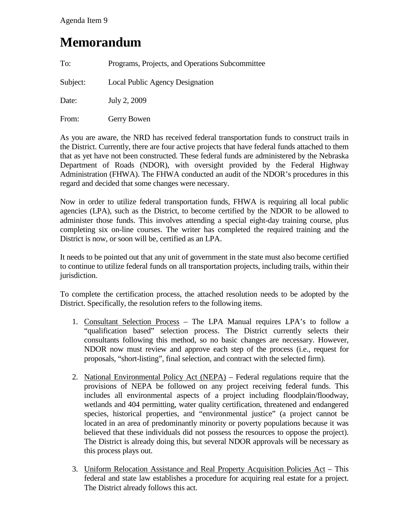Agenda Item 9

### **Memorandum**

| To:      | Programs, Projects, and Operations Subcommittee |
|----------|-------------------------------------------------|
| Subject: | Local Public Agency Designation                 |
| Date:    | July 2, 2009                                    |
| From:    | Gerry Bowen                                     |

As you are aware, the NRD has received federal transportation funds to construct trails in the District. Currently, there are four active projects that have federal funds attached to them that as yet have not been constructed. These federal funds are administered by the Nebraska Department of Roads (NDOR), with oversight provided by the Federal Highway Administration (FHWA). The FHWA conducted an audit of the NDOR's procedures in this regard and decided that some changes were necessary.

Now in order to utilize federal transportation funds, FHWA is requiring all local public agencies (LPA), such as the District, to become certified by the NDOR to be allowed to administer those funds. This involves attending a special eight-day training course, plus completing six on-line courses. The writer has completed the required training and the District is now, or soon will be, certified as an LPA.

It needs to be pointed out that any unit of government in the state must also become certified to continue to utilize federal funds on all transportation projects, including trails, within their jurisdiction.

To complete the certification process, the attached resolution needs to be adopted by the District. Specifically, the resolution refers to the following items.

- 1. Consultant Selection Process The LPA Manual requires LPA's to follow a "qualification based" selection process. The District currently selects their consultants following this method, so no basic changes are necessary. However, NDOR now must review and approve each step of the process (i.e., request for proposals, "short-listing", final selection, and contract with the selected firm).
- 2. National Environmental Policy Act (NEPA) Federal regulations require that the provisions of NEPA be followed on any project receiving federal funds. This includes all environmental aspects of a project including floodplain/floodway, wetlands and 404 permitting, water quality certification, threatened and endangered species, historical properties, and "environmental justice" (a project cannot be located in an area of predominantly minority or poverty populations because it was believed that these individuals did not possess the resources to oppose the project). The District is already doing this, but several NDOR approvals will be necessary as this process plays out.
- 3. Uniform Relocation Assistance and Real Property Acquisition Policies Act This federal and state law establishes a procedure for acquiring real estate for a project. The District already follows this act.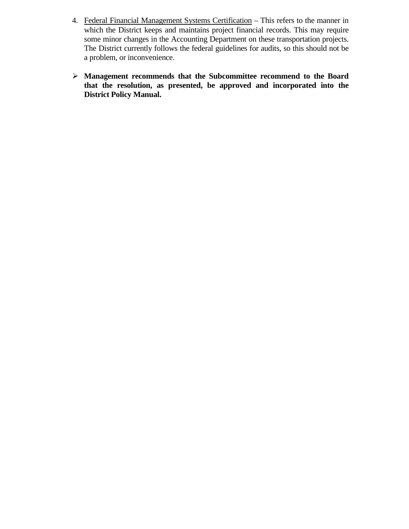- 4. Federal Financial Management Systems Certification This refers to the manner in which the District keeps and maintains project financial records. This may require some minor changes in the Accounting Department on these transportation projects. The District currently follows the federal guidelines for audits, so this should not be a problem, or inconvenience.
- **Management recommends that the Subcommittee recommend to the Board that the resolution, as presented, be approved and incorporated into the District Policy Manual.**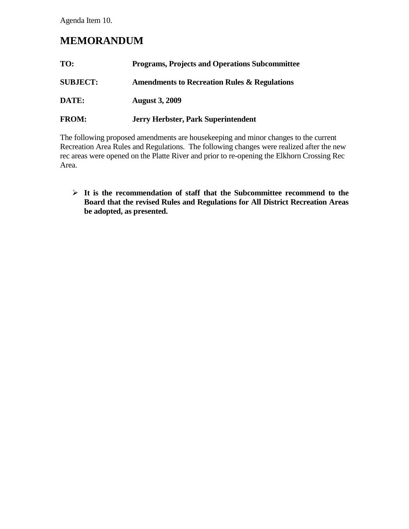Agenda Item 10.

### **MEMORANDUM**

| TO:             | <b>Programs, Projects and Operations Subcommittee</b>   |  |
|-----------------|---------------------------------------------------------|--|
| <b>SUBJECT:</b> | <b>Amendments to Recreation Rules &amp; Regulations</b> |  |
| DATE:           | <b>August 3, 2009</b>                                   |  |
| <b>FROM:</b>    | <b>Jerry Herbster, Park Superintendent</b>              |  |

The following proposed amendments are housekeeping and minor changes to the current Recreation Area Rules and Regulations. The following changes were realized after the new rec areas were opened on the Platte River and prior to re-opening the Elkhorn Crossing Rec Area.

 **It is the recommendation of staff that the Subcommittee recommend to the Board that the revised Rules and Regulations for All District Recreation Areas be adopted, as presented.**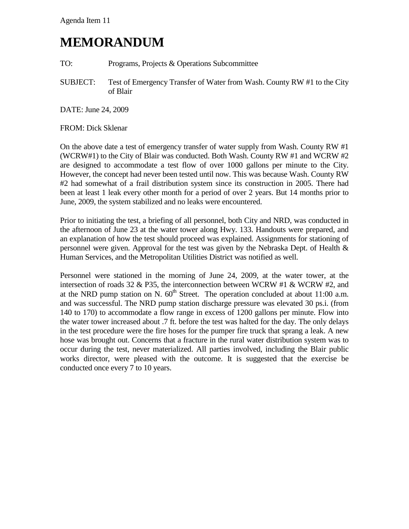## **MEMORANDUM**

TO: Programs, Projects & Operations Subcommittee

SUBJECT: Test of Emergency Transfer of Water from Wash. County RW #1 to the City of Blair

DATE: June 24, 2009

#### FROM: Dick Sklenar

On the above date a test of emergency transfer of water supply from Wash. County RW #1 (WCRW#1) to the City of Blair was conducted. Both Wash. County RW #1 and WCRW #2 are designed to accommodate a test flow of over 1000 gallons per minute to the City. However, the concept had never been tested until now. This was because Wash. County RW #2 had somewhat of a frail distribution system since its construction in 2005. There had been at least 1 leak every other month for a period of over 2 years. But 14 months prior to June, 2009, the system stabilized and no leaks were encountered.

Prior to initiating the test, a briefing of all personnel, both City and NRD, was conducted in the afternoon of June 23 at the water tower along Hwy. 133. Handouts were prepared, and an explanation of how the test should proceed was explained. Assignments for stationing of personnel were given. Approval for the test was given by the Nebraska Dept. of Health & Human Services, and the Metropolitan Utilities District was notified as well.

Personnel were stationed in the morning of June 24, 2009, at the water tower, at the intersection of roads 32 & P35, the interconnection between WCRW #1 & WCRW #2, and at the NRD pump station on N.  $60<sup>th</sup>$  Street. The operation concluded at about 11:00 a.m. and was successful. The NRD pump station discharge pressure was elevated 30 ps.i. (from 140 to 170) to accommodate a flow range in excess of 1200 gallons per minute. Flow into the water tower increased about .7 ft. before the test was halted for the day. The only delays in the test procedure were the fire hoses for the pumper fire truck that sprang a leak. A new hose was brought out. Concerns that a fracture in the rural water distribution system was to occur during the test, never materialized. All parties involved, including the Blair public works director, were pleased with the outcome. It is suggested that the exercise be conducted once every 7 to 10 years.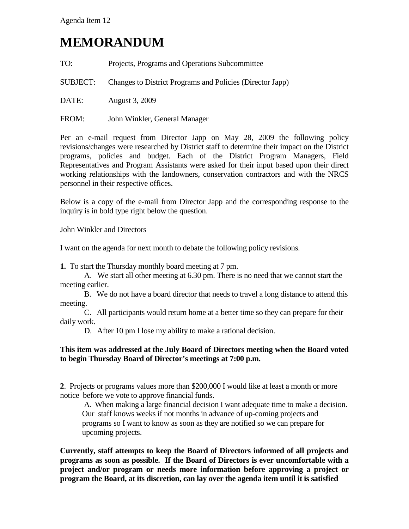# **MEMORANDUM**

| TO: |  |  | Projects, Programs and Operations Subcommittee |
|-----|--|--|------------------------------------------------|
|     |  |  |                                                |

SUBJECT: Changes to District Programs and Policies (Director Japp)

DATE: August 3, 2009

FROM: John Winkler, General Manager

Per an e-mail request from Director Japp on May 28, 2009 the following policy revisions/changes were researched by District staff to determine their impact on the District programs, policies and budget. Each of the District Program Managers, Field Representatives and Program Assistants were asked for their input based upon their direct working relationships with the landowners, conservation contractors and with the NRCS personnel in their respective offices.

Below is a copy of the e-mail from Director Japp and the corresponding response to the inquiry is in bold type right below the question.

John Winkler and Directors

I want on the agenda for next month to debate the following policy revisions.

**1.** To start the Thursday monthly board meeting at 7 pm.

A. We start all other meeting at 6.30 pm. There is no need that we cannot start the meeting earlier.

B. We do not have a board director that needs to travel a long distance to attend this meeting.

C. All participants would return home at a better time so they can prepare for their daily work.

D. After 10 pm I lose my ability to make a rational decision.

#### **This item was addressed at the July Board of Directors meeting when the Board voted to begin Thursday Board of Director's meetings at 7:00 p.m.**

**2**. Projects or programs values more than \$200,000 I would like at least a month or more notice before we vote to approve financial funds.

A. When making a large financial decision I want adequate time to make a decision. Our staff knows weeks if not months in advance of up-coming projects and programs so I want to know as soon as they are notified so we can prepare for upcoming projects.

**Currently, staff attempts to keep the Board of Directors informed of all projects and programs as soon as possible. If the Board of Directors is ever uncomfortable with a project and/or program or needs more information before approving a project or program the Board, at its discretion, can lay over the agenda item until it is satisfied**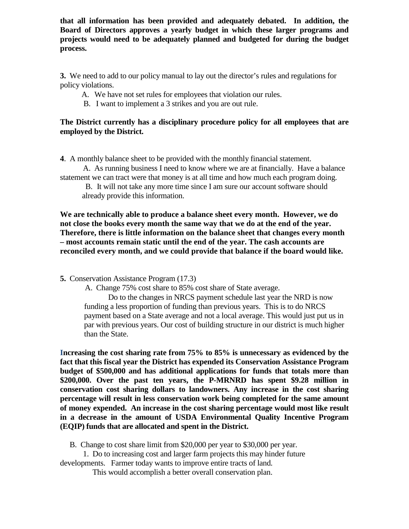**that all information has been provided and adequately debated. In addition, the Board of Directors approves a yearly budget in which these larger programs and projects would need to be adequately planned and budgeted for during the budget process.**

**3.** We need to add to our policy manual to lay out the director's rules and regulations for policy violations.

- A. We have not set rules for employees that violation our rules.
- B. I want to implement a 3 strikes and you are out rule.

### **The District currently has a disciplinary procedure policy for all employees that are employed by the District.**

**4**. A monthly balance sheet to be provided with the monthly financial statement.

 A. As running business I need to know where we are at financially. Have a balance statement we can tract were that money is at all time and how much each program doing.

 B. It will not take any more time since I am sure our account software should already provide this information.

**We are technically able to produce a balance sheet every month. However, we do not close the books every month the same way that we do at the end of the year. Therefore, there is little information on the balance sheet that changes every month – most accounts remain static until the end of the year. The cash accounts are reconciled every month, and we could provide that balance if the board would like.** 

**5.** Conservation Assistance Program (17.3)

A. Change 75% cost share to 85% cost share of State average.

Do to the changes in NRCS payment schedule last year the NRD is now funding a less proportion of funding than previous years. This is to do NRCS payment based on a State average and not a local average. This would just put us in par with previous years. Our cost of building structure in our district is much higher than the State.

**Increasing the cost sharing rate from 75% to 85% is unnecessary as evidenced by the fact that this fiscal year the District has expended its Conservation Assistance Program budget of \$500,000 and has additional applications for funds that totals more than \$200,000. Over the past ten years, the P-MRNRD has spent \$9.28 million in conservation cost sharing dollars to landowners. Any increase in the cost sharing percentage will result in less conservation work being completed for the same amount of money expended. An increase in the cost sharing percentage would most like result in a decrease in the amount of USDA Environmental Quality Incentive Program (EQIP) funds that are allocated and spent in the District.**

B. Change to cost share limit from \$20,000 per year to \$30,000 per year.

 1. Do to increasing cost and larger farm projects this may hinder future developments. Farmer today wants to improve entire tracts of land.

This would accomplish a better overall conservation plan.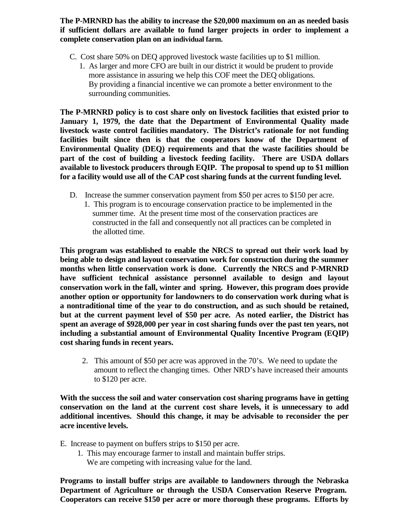**The P-MRNRD has the ability to increase the \$20,000 maximum on an as needed basis if sufficient dollars are available to fund larger projects in order to implement a complete conservation plan on an individual farm.**

- C. Cost share 50% on DEQ approved livestock waste facilities up to \$1 million.
	- 1. As larger and more CFO are built in our district it would be prudent to provide more assistance in assuring we help this COF meet the DEQ obligations. By providing a financial incentive we can promote a better environment to the surrounding communities.

**The P-MRNRD policy is to cost share only on livestock facilities that existed prior to January 1, 1979, the date that the Department of Environmental Quality made livestock waste control facilities mandatory. The District's rationale for not funding facilities built since then is that the cooperators know of the Department of Environmental Quality (DEQ) requirements and that the waste facilities should be part of the cost of building a livestock feeding facility. There are USDA dollars available to livestock producers through EQIP. The proposal to spend up to \$1 million for a facility would use all of the CAP cost sharing funds at the current funding level.**

- D. Increase the summer conservation payment from \$50 per acres to \$150 per acre.
	- 1. This program is to encourage conservation practice to be implemented in the summer time. At the present time most of the conservation practices are constructed in the fall and consequently not all practices can be completed in the allotted time.

**This program was established to enable the NRCS to spread out their work load by being able to design and layout conservation work for construction during the summer months when little conservation work is done. Currently the NRCS and P-MRNRD have sufficient technical assistance personnel available to design and layout conservation work in the fall, winter and spring. However, this program does provide another option or opportunity for landowners to do conservation work during what is a nontraditional time of the year to do construction, and as such should be retained, but at the current payment level of \$50 per acre. As noted earlier, the District has spent an average of \$928,000 per year in cost sharing funds over the past ten years, not including a substantial amount of Environmental Quality Incentive Program (EQIP) cost sharing funds in recent years.**

2. This amount of \$50 per acre was approved in the 70's. We need to update the amount to reflect the changing times. Other NRD's have increased their amounts to \$120 per acre.

**With the success the soil and water conservation cost sharing programs have in getting conservation on the land at the current cost share levels, it is unnecessary to add additional incentives. Should this change, it may be advisable to reconsider the per acre incentive levels.**

E. Increase to payment on buffers strips to \$150 per acre.

 1. This may encourage farmer to install and maintain buffer strips. We are competing with increasing value for the land.

**Programs to install buffer strips are available to landowners through the Nebraska Department of Agriculture or through the USDA Conservation Reserve Program. Cooperators can receive \$150 per acre or more thorough these programs. Efforts by**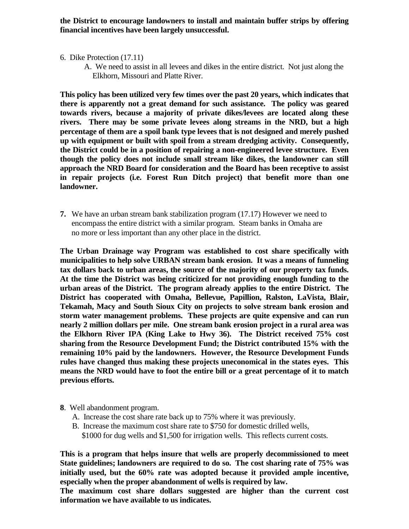**the District to encourage landowners to install and maintain buffer strips by offering financial incentives have been largely unsuccessful.** 

- 6. Dike Protection (17.11)
	- A. We need to assist in all levees and dikes in the entire district. Not just along the Elkhorn, Missouri and Platte River.

**This policy has been utilized very few times over the past 20 years, which indicates that there is apparently not a great demand for such assistance. The policy was geared towards rivers, because a majority of private dikes/levees are located along these rivers. There may be some private levees along streams in the NRD, but a high percentage of them are a spoil bank type levees that is not designed and merely pushed up with equipment or built with spoil from a stream dredging activity. Consequently, the District could be in a position of repairing a non-engineered levee structure. Even though the policy does not include small stream like dikes, the landowner can still approach the NRD Board for consideration and the Board has been receptive to assist in repair projects (i.e. Forest Run Ditch project) that benefit more than one landowner.**

**7.** We have an urban stream bank stabilization program (17.17) However we need to encompass the entire district with a similar program. Steam banks in Omaha are no more or less important than any other place in the district.

**The Urban Drainage way Program was established to cost share specifically with municipalities to help solve URBAN stream bank erosion. It was a means of funneling tax dollars back to urban areas, the source of the majority of our property tax funds. At the time the District was being criticized for not providing enough funding to the urban areas of the District. The program already applies to the entire District. The District has cooperated with Omaha, Bellevue, Papillion, Ralston, LaVista, Blair, Tekamah, Macy and South Sioux City on projects to solve stream bank erosion and storm water management problems. These projects are quite expensive and can run nearly 2 million dollars per mile. One stream bank erosion project in a rural area was the Elkhorn River IPA (King Lake to Hwy 36). The District received 75% cost sharing from the Resource Development Fund; the District contributed 15% with the remaining 10% paid by the landowners. However, the Resource Development Funds rules have changed thus making these projects uneconomical in the states eyes. This means the NRD would have to foot the entire bill or a great percentage of it to match previous efforts.**

- **8**. Well abandonment program.
	- A. Increase the cost share rate back up to 75% where it was previously.
	- B. Increase the maximum cost share rate to \$750 for domestic drilled wells, \$1000 for dug wells and \$1,500 for irrigation wells. This reflects current costs.

**This is a program that helps insure that wells are properly decommissioned to meet State guidelines; landowners are required to do so. The cost sharing rate of 75% was initially used, but the 60% rate was adopted because it provided ample incentive, especially when the proper abandonment of wells is required by law.**

**The maximum cost share dollars suggested are higher than the current cost information we have available to us indicates.**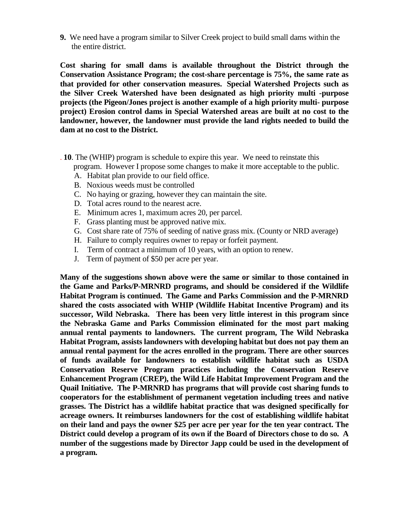**9.** We need have a program similar to Silver Creek project to build small dams within the the entire district.

**Cost sharing for small dams is available throughout the District through the Conservation Assistance Program; the cost-share percentage is 75%, the same rate as that provided for other conservation measures. Special Watershed Projects such as the Silver Creek Watershed have been designated as high priority multi -purpose projects (the Pigeon/Jones project is another example of a high priority multi- purpose project) Erosion control dams in Special Watershed areas are built at no cost to the landowner, however, the landowner must provide the land rights needed to build the dam at no cost to the District.** 

- . **10**. The (WHIP) program is schedule to expire this year. We need to reinstate this program. However I propose some changes to make it more acceptable to the public.
	- A. Habitat plan provide to our field office.
	- B. Noxious weeds must be controlled
	- C. No haying or grazing, however they can maintain the site.
	- D. Total acres round to the nearest acre.
	- E. Minimum acres 1, maximum acres 20, per parcel.
	- F. Grass planting must be approved native mix.
	- G. Cost share rate of 75% of seeding of native grass mix. (County or NRD average)
	- H. Failure to comply requires owner to repay or forfeit payment.
	- I. Term of contract a minimum of 10 years, with an option to renew.
	- J. Term of payment of \$50 per acre per year.

**Many of the suggestions shown above were the same or similar to those contained in the Game and Parks/P-MRNRD programs, and should be considered if the Wildlife Habitat Program is continued. The Game and Parks Commission and the P-MRNRD shared the costs associated with WHIP (Wildlife Habitat Incentive Program) and its successor, Wild Nebraska. There has been very little interest in this program since the Nebraska Game and Parks Commission eliminated for the most part making annual rental payments to landowners. The current program, The Wild Nebraska Habitat Program, assists landowners with developing habitat but does not pay them an annual rental payment for the acres enrolled in the program. There are other sources of funds available for landowners to establish wildlife habitat such as USDA Conservation Reserve Program practices including the Conservation Reserve Enhancement Program (CREP), the Wild Life Habitat Improvement Program and the Quail Initiative. The P-MRNRD has programs that will provide cost sharing funds to cooperators for the establishment of permanent vegetation including trees and native grasses. The District has a wildlife habitat practice that was designed specifically for acreage owners. It reimburses landowners for the cost of establishing wildlife habitat on their land and pays the owner \$25 per acre per year for the ten year contract. The District could develop a program of its own if the Board of Directors chose to do so. A number of the suggestions made by Director Japp could be used in the development of a program.**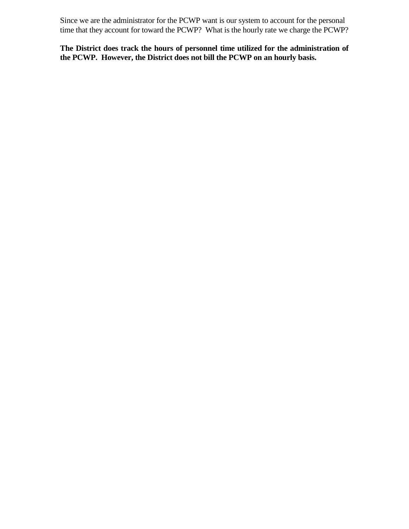Since we are the administrator for the PCWP want is our system to account for the personal time that they account for toward the PCWP? What is the hourly rate we charge the PCWP?

**The District does track the hours of personnel time utilized for the administration of the PCWP. However, the District does not bill the PCWP on an hourly basis.**